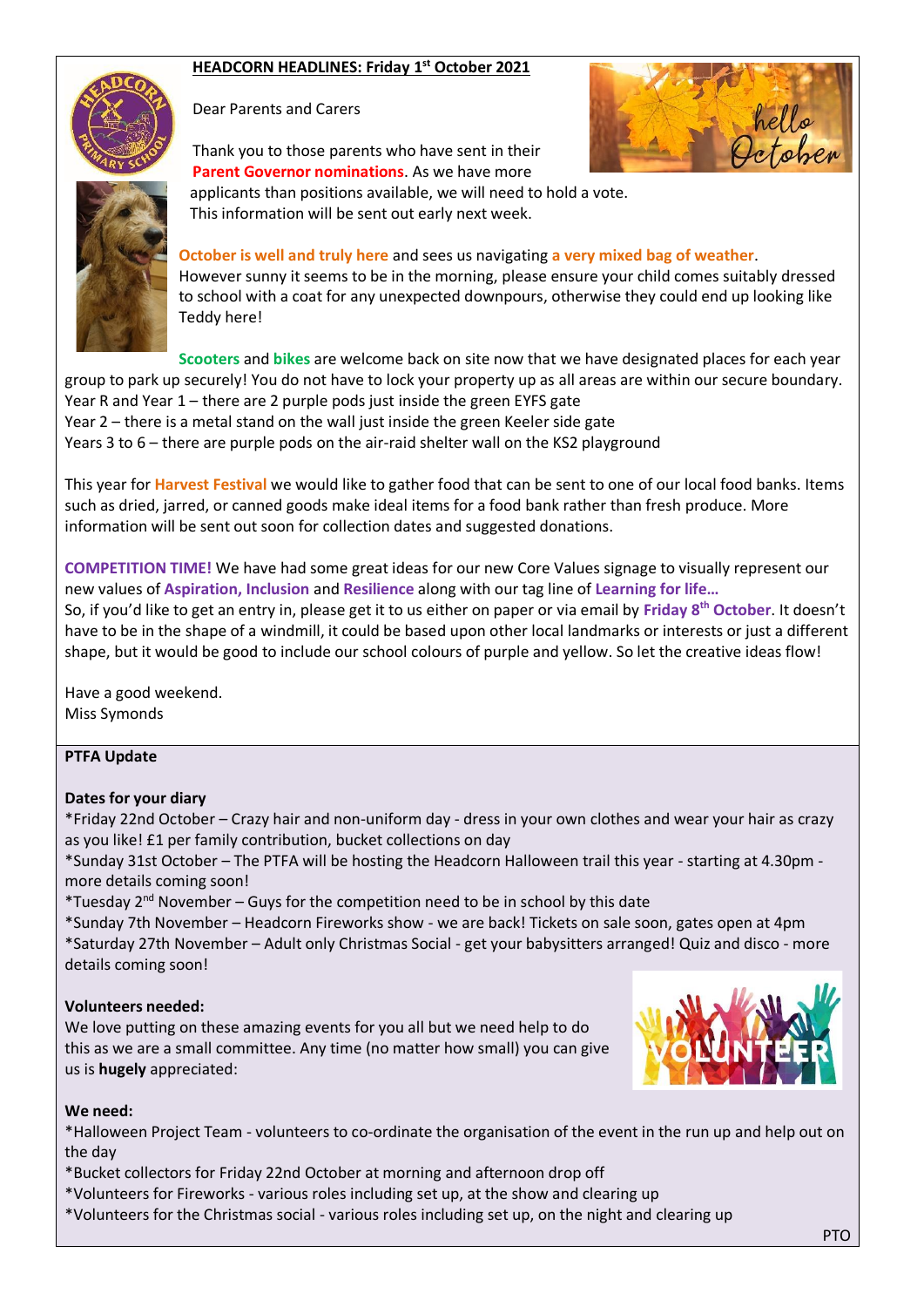## **HEADCORN HEADLINES: Friday 1 st October 2021**



Dear Parents and Carers

Thank you to those parents who have sent in their **Parent Governor nominations**. As we have more





 applicants than positions available, we will need to hold a vote. This information will be sent out early next week. **October is well and truly here** and sees us navigating **a very mixed bag of weather**.

However sunny it seems to be in the morning, please ensure your child comes suitably dressed to school with a coat for any unexpected downpours, otherwise they could end up looking like Teddy here!

**Scooters** and **bikes** are welcome back on site now that we have designated places for each year group to park up securely! You do not have to lock your property up as all areas are within our secure boundary. Year R and Year 1 – there are 2 purple pods just inside the green EYFS gate Year 2 – there is a metal stand on the wall just inside the green Keeler side gate Years 3 to 6 – there are purple pods on the air-raid shelter wall on the KS2 playground

This year for **Harvest Festival** we would like to gather food that can be sent to one of our local food banks. Items such as dried, jarred, or canned goods make ideal items for a food bank rather than fresh produce. More information will be sent out soon for collection dates and suggested donations.

**COMPETITION TIME!** We have had some great ideas for our new Core Values signage to visually represent our new values of **Aspiration, Inclusion** and **Resilience** along with our tag line of **Learning for life…** So, if you'd like to get an entry in, please get it to us either on paper or via email by **Friday 8th October**. It doesn't have to be in the shape of a windmill, it could be based upon other local landmarks or interests or just a different shape, but it would be good to include our school colours of purple and yellow. So let the creative ideas flow!

Have a good weekend. Miss Symonds

#### **PTFA Update**

#### **Dates for your diary**

\*Friday 22nd October – Crazy hair and non-uniform day - dress in your own clothes and wear your hair as crazy as you like! £1 per family contribution, bucket collections on day

\*Sunday 31st October – The PTFA will be hosting the Headcorn Halloween trail this year - starting at 4.30pm more details coming soon!

\*Tuesday  $2^{nd}$  November – Guys for the competition need to be in school by this date

\*Sunday 7th November – Headcorn Fireworks show - we are back! Tickets on sale soon, gates open at 4pm \*Saturday 27th November – Adult only Christmas Social - get your babysitters arranged! Quiz and disco - more details coming soon!

#### **Volunteers needed:**

We love putting on these amazing events for you all but we need help to do this as we are a small committee. Any time (no matter how small) you can give us is **hugely** appreciated:



#### **We need:**

\*Halloween Project Team - volunteers to co-ordinate the organisation of the event in the run up and help out on the day

\*Bucket collectors for Friday 22nd October at morning and afternoon drop off

- \*Volunteers for Fireworks various roles including set up, at the show and clearing up
- \*Volunteers for the Christmas social various roles including set up, on the night and clearing up